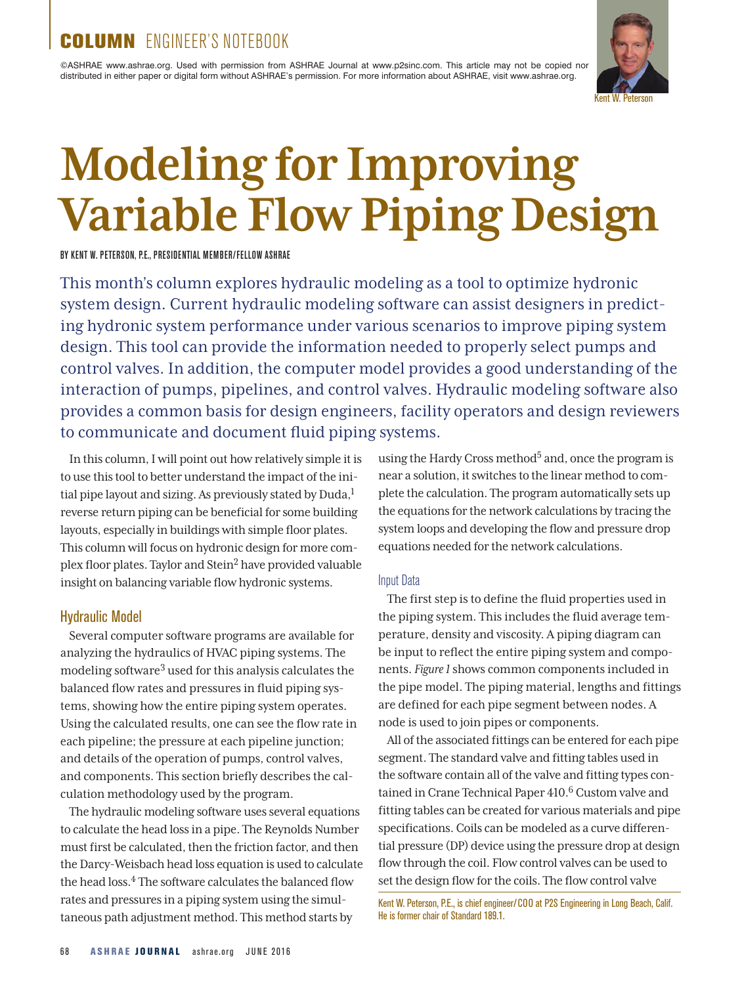# COLUMN ENGINEER'S NOTEBOOK

©ASHRAE www.ashrae.org. Used with permission from ASHRAE Journal at www.p2sinc.com. This article may not be copied nor distributed in either paper or digital form without ASHRAE's permission. For more information about ASHRAE, visit www.ashrae.org.



# **Modeling for Improving Variable Flow Piping Design**

BY KENT W. PETERSON, P.E., PRESIDENTIAL MEMBER/FELLOW ASHRAE

This month's column explores hydraulic modeling as a tool to optimize hydronic system design. Current hydraulic modeling software can assist designers in predicting hydronic system performance under various scenarios to improve piping system design. This tool can provide the information needed to properly select pumps and control valves. In addition, the computer model provides a good understanding of the interaction of pumps, pipelines, and control valves. Hydraulic modeling software also provides a common basis for design engineers, facility operators and design reviewers to communicate and document fluid piping systems.

In this column, I will point out how relatively simple it is to use this tool to better understand the impact of the initial pipe layout and sizing. As previously stated by  $Duda<sup>1</sup>$ reverse return piping can be beneficial for some building layouts, especially in buildings with simple floor plates. This column will focus on hydronic design for more complex floor plates. Taylor and Stein2 have provided valuable insight on balancing variable flow hydronic systems.

### Hydraulic Model

Several computer software programs are available for analyzing the hydraulics of HVAC piping systems. The modeling software3 used for this analysis calculates the balanced flow rates and pressures in fluid piping systems, showing how the entire piping system operates. Using the calculated results, one can see the flow rate in each pipeline; the pressure at each pipeline junction; and details of the operation of pumps, control valves, and components. This section briefly describes the calculation methodology used by the program.

The hydraulic modeling software uses several equations to calculate the head loss in a pipe. The Reynolds Number must first be calculated, then the friction factor, and then the Darcy-Weisbach head loss equation is used to calculate the head loss.<sup>4</sup> The software calculates the balanced flow rates and pressures in a piping system using the simultaneous path adjustment method. This method starts by

using the Hardy Cross method<sup>5</sup> and, once the program is near a solution, it switches to the linear method to complete the calculation. The program automatically sets up the equations for the network calculations by tracing the system loops and developing the flow and pressure drop equations needed for the network calculations.

#### Input Data

The first step is to define the fluid properties used in the piping system. This includes the fluid average temperature, density and viscosity. A piping diagram can be input to reflect the entire piping system and components. *Figure 1* shows common components included in the pipe model. The piping material, lengths and fittings are defined for each pipe segment between nodes. A node is used to join pipes or components.

All of the associated fittings can be entered for each pipe segment. The standard valve and fitting tables used in the software contain all of the valve and fitting types contained in Crane Technical Paper 410.<sup>6</sup> Custom valve and fitting tables can be created for various materials and pipe specifications. Coils can be modeled as a curve differential pressure (DP) device using the pressure drop at design flow through the coil. Flow control valves can be used to set the design flow for the coils. The flow control valve

Kent W. Peterson, P.E., is chief engineer/COO at P2S Engineering in Long Beach, Calif. He is former chair of Standard 189.1.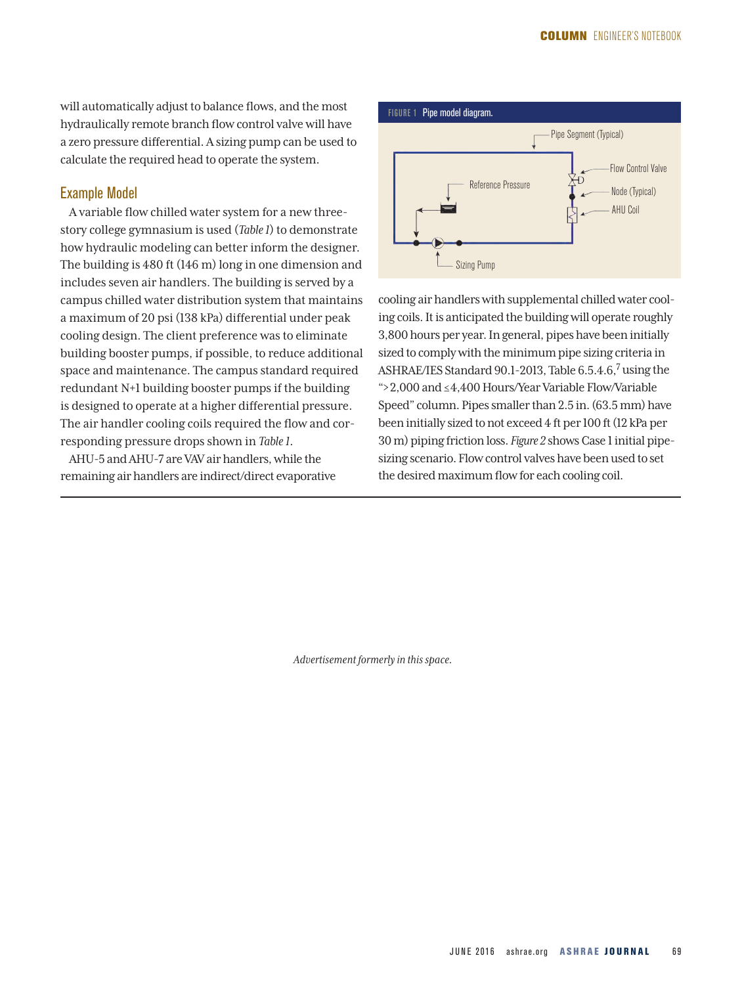will automatically adjust to balance flows, and the most hydraulically remote branch flow control valve will have a zero pressure differential. A sizing pump can be used to calculate the required head to operate the system.

#### Example Model

A variable flow chilled water system for a new threestory college gymnasium is used (*Table 1*) to demonstrate how hydraulic modeling can better inform the designer. The building is 480 ft (146 m) long in one dimension and includes seven air handlers. The building is served by a campus chilled water distribution system that maintains a maximum of 20 psi (138 kPa) differential under peak cooling design. The client preference was to eliminate building booster pumps, if possible, to reduce additional space and maintenance. The campus standard required redundant N+1 building booster pumps if the building is designed to operate at a higher differential pressure. The air handler cooling coils required the flow and corresponding pressure drops shown in *Table 1*.

AHU-5 and AHU-7 are VAV air handlers, while the remaining air handlers are indirect/direct evaporative



cooling air handlers with supplemental chilled water cooling coils. It is anticipated the building will operate roughly 3,800 hours per year. In general, pipes have been initially sized to comply with the minimum pipe sizing criteria in ASHRAE/IES Standard 90.1-2013, Table 6.5.4.6,7 using the ">2,000 and ≤4,400 Hours/Year Variable Flow/Variable Speed" column. Pipes smaller than 2.5 in. (63.5 mm) have been initially sized to not exceed 4 ft per 100 ft (12 kPa per 30 m) piping friction loss. *Figure 2* shows Case 1 initial pipesizing scenario. Flow control valves have been used to set the desired maximum flow for each cooling coil.

*Advertisement formerly in this space.*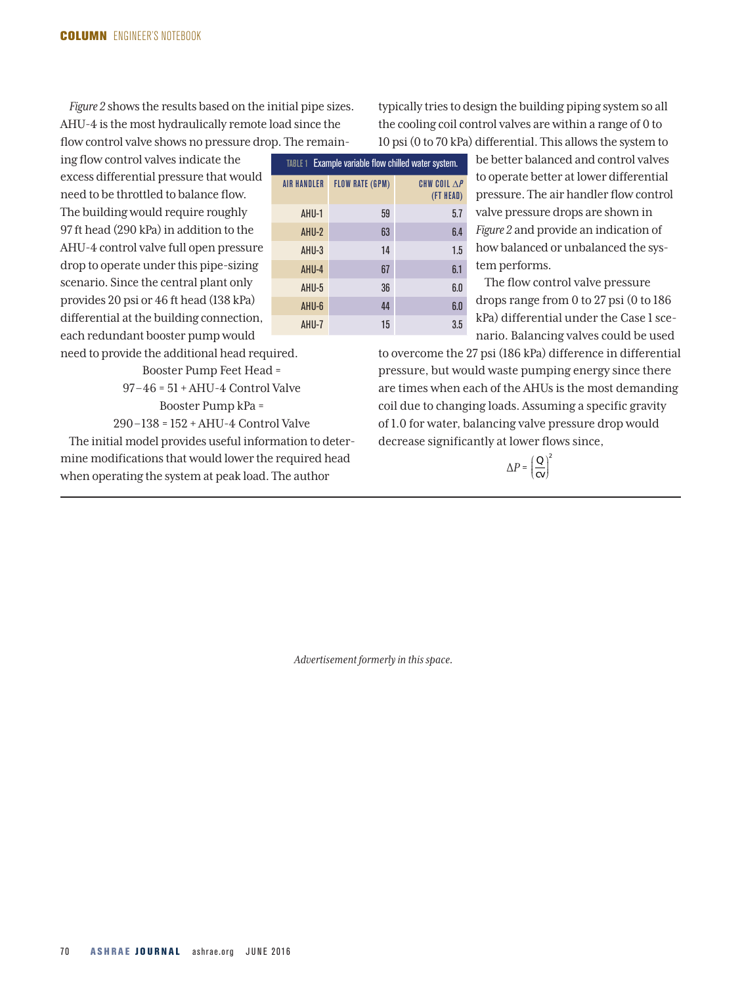*Figure 2* shows the results based on the initial pipe sizes. AHU-4 is the most hydraulically remote load since the flow control valve shows no pressure drop. The remain-

ing flow control valves indicate the excess differential pressure that would need to be throttled to balance flow. The building would require roughly 97 ft head (290 kPa) in addition to the AHU-4 control valve full open pressure drop to operate under this pipe-sizing scenario. Since the central plant only provides 20 psi or 46 ft head (138 kPa) differential at the building connection, each redundant booster pump would

need to provide the additional head required. Booster Pump Feet Head = 97 –46 = 51 + AHU-4 Control Valve

Booster Pump kPa =

290–138 = 152 + AHU-4 Control Valve The initial model provides useful information to determine modifications that would lower the required head

when operating the system at peak load. The author

TABLE 1 Example variable flow chilled water system. AIR HANDLER FLOW RATE (GPM) CHW COIL ∆*P* (FT HEAD) AHU-1 59 5.7 AHU-2 63 6.4 AHU-3 14 1.5 AHU-4 67 6.1 AHU-5 36 6.0

AHU-6 44 6.0 AHU-7 15 3.5

typically tries to design the building piping system so all the cooling coil control valves are within a range of 0 to 10 psi (0 to 70 kPa) differential. This allows the system to

> be better balanced and control valves to operate better at lower differential pressure. The air handler flow control valve pressure drops are shown in *Figure 2* and provide an indication of how balanced or unbalanced the system performs.

The flow control valve pressure drops range from 0 to 27 psi (0 to 186 kPa) differential under the Case 1 scenario. Balancing valves could be used

to overcome the 27 psi (186 kPa) difference in differential pressure, but would waste pumping energy since there are times when each of the AHUs is the most demanding coil due to changing loads. Assuming a specific gravity of 1.0 for water, balancing valve pressure drop would decrease significantly at lower flows since,

> ∆*P* = *<sup>Q</sup> cv* ſ  $\left(\frac{Q}{c v}\right)$  $\cdot$ 2

*Advertisement formerly in this space.*